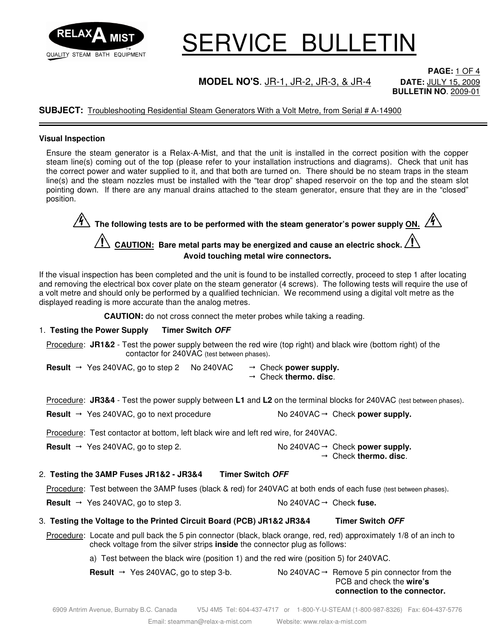

# SERVICE BULLETIN

### **MODEL NO'S**. JR-1, JR-2, JR-3, & JR-4 **DATE:** JULY 15, 2009

**PAGE:** 1 OF 4 **BULLETIN NO**. 2009-01

#### **SUBJECT:** Troubleshooting Residential Steam Generators With a Volt Metre, from Serial # A-14900

#### **Visual Inspection**

Ensure the steam generator is a Relax-A-Mist, and that the unit is installed in the correct position with the copper steam line(s) coming out of the top (please refer to your installation instructions and diagrams). Check that unit has the correct power and water supplied to it, and that both are turned on. There should be no steam traps in the steam line(s) and the steam nozzles must be installed with the "tear drop" shaped reservoir on the top and the steam slot pointing down. If there are any manual drains attached to the steam generator, ensure that they are in the "closed" position.

 $\Delta$  The following tests are to be performed with the steam generator's power supply ON.  $\cancel{\mathscr{A}}$  **CAUTION: Bare metal parts may be energized and cause an electric shock. Avoid touching metal wire connectors.**

If the visual inspection has been completed and the unit is found to be installed correctly, proceed to step 1 after locating and removing the electrical box cover plate on the steam generator (4 screws). The following tests will require the use of a volt metre and should only be performed by a qualified technician. We recommend using a digital volt metre as the displayed reading is more accurate than the analog metres.

 **CAUTION:** do not cross connect the meter probes while taking a reading.

#### 1. **Testing the Power Supply Timer Switch OFF**

Procedure: **JR1&2** - Test the power supply between the red wire (top right) and black wire (bottom right) of the contactor for 240VAC (test between phases).

**Result**  $\rightarrow$  Yes 240VAC, go to step 2 No 240VAC  $\rightarrow$  Check **power supply.** Check **thermo. disc**.

Procedure: **JR3&4** - Test the power supply between **L1** and **L2** on the terminal blocks for 240VAC (test between phases).

**Result** → Yes 240VAC, go to next procedure No 240VAC → Check **power supply.** 

Procedure: Test contactor at bottom, left black wire and left red wire, for 240VAC.

**Result** → Yes 240VAC, go to step 2. No 240VAC → Check **power supply.** 

Check **thermo. disc**.

#### 2. **Testing the 3AMP Fuses JR1&2 - JR3&4 Timer Switch OFF**

Procedure: Test between the 3AMP fuses (black & red) for 240VAC at both ends of each fuse (test between phases).

**Result** → Yes 240VAC, go to step 3. No 240VAC → Check fuse.

#### 3. **Testing the Voltage to the Printed Circuit Board (PCB) JR1&2 JR3&4 Timer Switch OFF**

Procedure: Locate and pull back the 5 pin connector (black, black orange, red, red) approximately 1/8 of an inch to check voltage from the silver strips **inside** the connector plug as follows:

a) Test between the black wire (position 1) and the red wire (position 5) for 240VAC.

**Result**  $\rightarrow$  Yes 240VAC, go to step 3-b. No 240VAC  $\rightarrow$  Remove 5 pin connector from the PCB and check the **wire's connection to the connector.**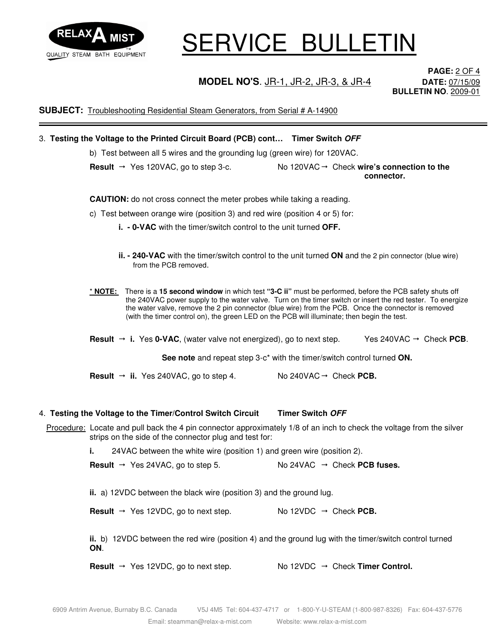

# SERVICE BULLETIN

### **MODEL NO'S**. JR-1, JR-2, JR-3, & JR-4 **DATE:** 07/15/09

**PAGE:** 2 OF 4 **BULLETIN NO**. 2009-01

**SUBJECT:** Troubleshooting Residential Steam Generators, from Serial # A-14900

#### 3. **Testing the Voltage to the Printed Circuit Board (PCB) cont… Timer Switch OFF**

b) Test between all 5 wires and the grounding lug (green wire) for 120VAC.

**Result** Yes 120VAC, go to step 3-c. No 120VAC Check **wire's connection to the connector.** 

**CAUTION:** do not cross connect the meter probes while taking a reading.

c) Test between orange wire (position 3) and red wire (position 4 or 5) for:

**i. - 0-VAC** with the timer/switch control to the unit turned **OFF.** 

- **ii. 240-VAC** with the timer/switch control to the unit turned **ON** and the 2 pin connector (blue wire) from the PCB removed.
- \* **NOTE:** There is a **15 second window** in which test **"3-C ii"** must be performed, before the PCB safety shuts off the 240VAC power supply to the water valve. Turn on the timer switch or insert the red tester. To energize the water valve, remove the 2 pin connector (blue wire) from the PCB. Once the connector is removed (with the timer control on), the green LED on the PCB will illuminate; then begin the test.

**Result**  $\rightarrow$  **i.** Yes 0-VAC, (water valve not energized), go to next step. Yes 240VAC  $\rightarrow$  Check PCB.

**See note** and repeat step 3-c\* with the timer/switch control turned **ON.**

**Result**  $\rightarrow$  **ii.** Yes 240VAC, go to step 4. No 240VAC  $\rightarrow$  Check **PCB.** 

#### 4. **Testing the Voltage to the Timer/Control Switch Circuit Timer Switch OFF**

Procedure: Locate and pull back the 4 pin connector approximately 1/8 of an inch to check the voltage from the silver strips on the side of the connector plug and test for:

**i.** 24VAC between the white wire (position 1) and green wire (position 2).

**Result**  $\rightarrow$  Yes 24VAC, go to step 5. No 24VAC  $\rightarrow$  Check **PCB fuses.** 

**ii.** a) 12VDC between the black wire (position 3) and the ground lug.

**Result**  $\rightarrow$  Yes 12VDC, go to next step. No 12VDC  $\rightarrow$  Check **PCB.** 

**ii.** b) 12VDC between the red wire (position 4) and the ground lug with the timer/switch control turned **ON**.

**Result** → Yes 12VDC, go to next step. No 12VDC → Check **Timer Control.**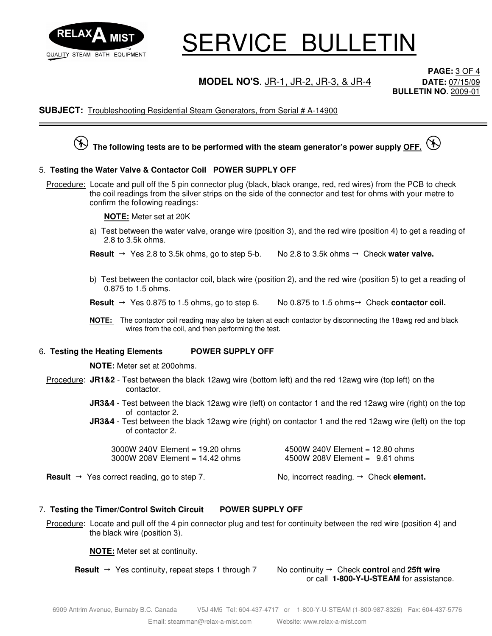

# SERVICE BULLETIN

### **MODEL NO'S**. JR-1, JR-2, JR-3, & JR-4 **DATE:** 07/15/09

**PAGE:** 3 OF 4 **BULLETIN NO**. 2009-01

#### **SUBJECT:** Troubleshooting Residential Steam Generators, from Serial # A-14900

 $(\%)$  $({\mathcal K} )$ **The following tests are to be performed with the steam generator's power supply OFF.**

#### 5. **Testing the Water Valve & Contactor Coil POWER SUPPLY OFF**

Procedure: Locate and pull off the 5 pin connector plug (black, black orange, red, red wires) from the PCB to check the coil readings from the silver strips on the side of the connector and test for ohms with your metre to confirm the following readings:

**NOTE:** Meter set at 20K

 a) Test between the water valve, orange wire (position 3), and the red wire (position 4) to get a reading of 2.8 to 3.5k ohms.

**Result**  $\rightarrow$  Yes 2.8 to 3.5k ohms, go to step 5-b. No 2.8 to 3.5k ohms  $\rightarrow$  Check **water valve.** 

- b) Test between the contactor coil, black wire (position 2), and the red wire (position 5) to get a reading of 0.875 to 1.5 ohms.
- **Result**  $\rightarrow$  Yes 0.875 to 1.5 ohms, go to step 6. No 0.875 to 1.5 ohms $\rightarrow$  Check **contactor coil.**
- **NOTE:** The contactor coil reading may also be taken at each contactor by disconnecting the 18awg red and black wires from the coil, and then performing the test.

#### 6. **Testing the Heating Elements POWER SUPPLY OFF**

 **NOTE:** Meter set at 200ohms.

- Procedure: **JR1&2** Test between the black 12awg wire (bottom left) and the red 12awg wire (top left) on the contactor.
	- **JR3&4** Test between the black 12awg wire (left) on contactor 1 and the red 12awg wire (right) on the top of contactor 2.
	- **JR3&4** Test between the black 12awg wire (right) on contactor 1 and the red 12awg wire (left) on the top of contactor 2.

 3000W 240V Element = 19.20 ohms 4500W 240V Element = 12.80 ohms 3000W 208V Element = 14.42 ohms 4500W 208V Element = 9.61 ohms

**Result** → Yes correct reading, go to step 7. No, incorrect reading.  $\rightarrow$  Check **element.** 

#### 7. **Testing the Timer/Control Switch Circuit POWER SUPPLY OFF**

Procedure: Locate and pull off the 4 pin connector plug and test for continuity between the red wire (position 4) and the black wire (position 3).

 **NOTE:** Meter set at continuity.

**Result** → Yes continuity, repeat steps 1 through 7 No continuity → Check **control** and 25ft wire

or call **1-800-Y-U-STEAM** for assistance.